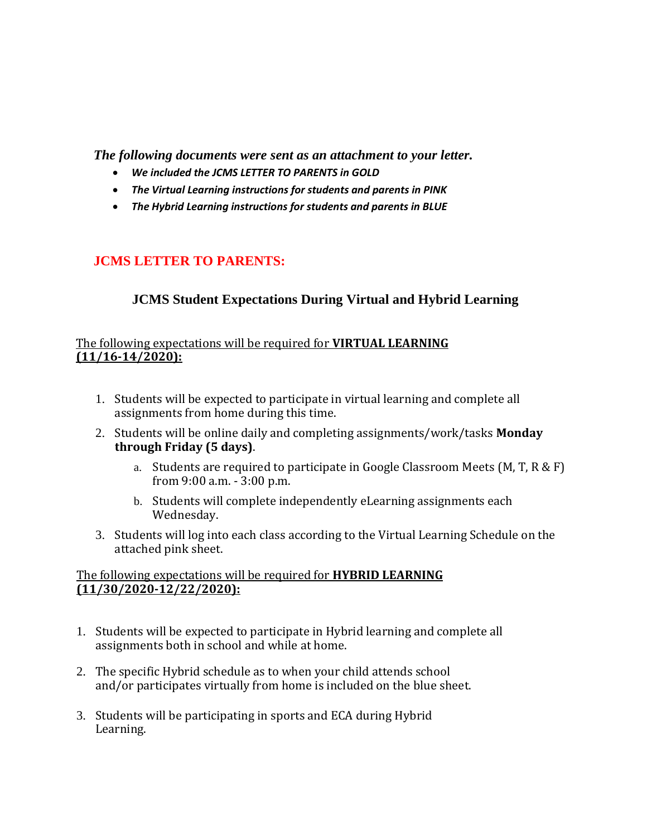*The following documents were sent as an attachment to your letter.* 

- *We included the JCMS LETTER TO PARENTS in GOLD*
- *The Virtual Learning instructions for students and parents in PINK*
- *The Hybrid Learning instructions for students and parents in BLUE*

## **JCMS LETTER TO PARENTS:**

## **JCMS Student Expectations During Virtual and Hybrid Learning**

#### The following expectations will be required for **VIRTUAL LEARNING (11/16-14/2020):**

- 1. Students will be expected to participate in virtual learning and complete all assignments from home during this time.
- 2. Students will be online daily and completing assignments/work/tasks **Monday through Friday (5 days)**.
	- a. Students are required to participate in Google Classroom Meets (M, T, R & F) from 9:00 a.m. - 3:00 p.m.
	- b. Students will complete independently eLearning assignments each Wednesday.
- 3. Students will log into each class according to the Virtual Learning Schedule on the attached pink sheet.

#### The following expectations will be required for **HYBRID LEARNING (11/30/2020-12/22/2020):**

- 1. Students will be expected to participate in Hybrid learning and complete all assignments both in school and while at home.
- 2. The specific Hybrid schedule as to when your child attends school and/or participates virtually from home is included on the blue sheet.
- 3. Students will be participating in sports and ECA during Hybrid Learning.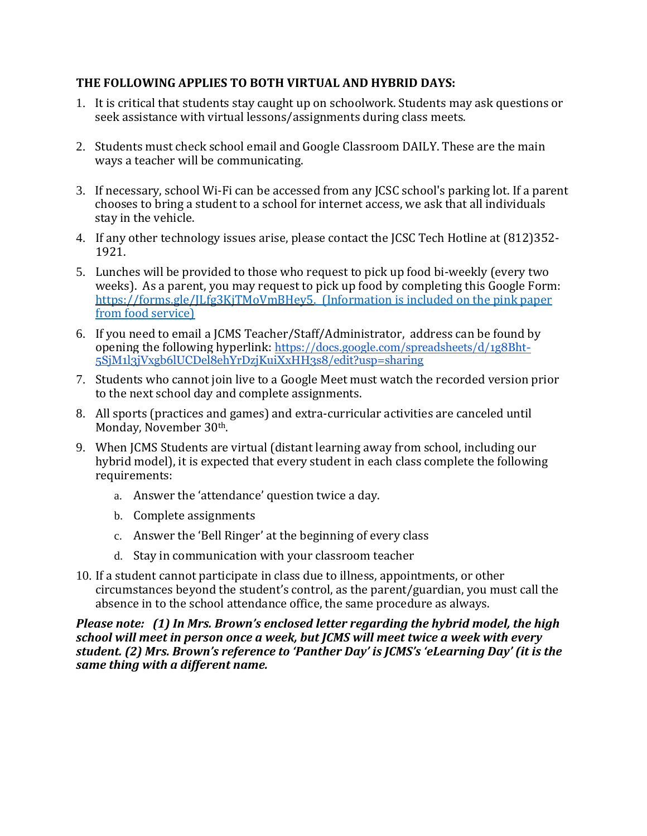#### **THE FOLLOWING APPLIES TO BOTH VIRTUAL AND HYBRID DAYS:**

- 1. It is critical that students stay caught up on schoolwork. Students may ask questions or seek assistance with virtual lessons/assignments during class meets.
- 2. Students must check school email and Google Classroom DAILY. These are the main ways a teacher will be communicating.
- 3. If necessary, school Wi-Fi can be accessed from any JCSC school's parking lot. If a parent chooses to bring a student to a school for internet access, we ask that all individuals stay in the vehicle.
- 4. If any other technology issues arise, please contact the JCSC Tech Hotline at (812)352- 1921.
- 5. Lunches will be provided to those who request to pick up food bi-weekly (every two weeks). As a parent, you may request to pick up food by completing this Google Form: [https://forms.gle/JLfg3KjTMoVmBHey5.](https://forms.gle/JLfg3KjTMoVmBHey5) (Information is included on the pink paper from food service)
- 6. If you need to email a JCMS Teacher/Staff/Administrator, address can be found by opening the following hyperlink: [https://docs.google.com/spreadsheets/d/1g8Bht-](https://docs.google.com/spreadsheets/d/1g8Bht-5SjM1l3jVxgb6lUCDel8ehYrDzjKuiXxHH3s8/edit?usp=sharing)[5SjM1l3jVxgb6lUCDel8ehYrDzjKuiXxHH3s8/edit?usp=sharing](https://docs.google.com/spreadsheets/d/1g8Bht-5SjM1l3jVxgb6lUCDel8ehYrDzjKuiXxHH3s8/edit?usp=sharing)
- 7. Students who cannot join live to a Google Meet must watch the recorded version prior to the next school day and complete assignments.
- 8. All sports (practices and games) and extra-curricular activities are canceled until Monday, November 30th.
- 9. When JCMS Students are virtual (distant learning away from school, including our hybrid model), it is expected that every student in each class complete the following requirements:
	- a. Answer the 'attendance' question twice a day.
	- b. Complete assignments
	- c. Answer the 'Bell Ringer' at the beginning of every class
	- d. Stay in communication with your classroom teacher
- 10. If a student cannot participate in class due to illness, appointments, or other circumstances beyond the student's control, as the parent/guardian, you must call the absence in to the school attendance office, the same procedure as always.

*Please note: (1) In Mrs. Brown's enclosed letter regarding the hybrid model, the high school will meet in person once a week, but JCMS will meet twice a week with every student. (2) Mrs. Brown's reference to 'Panther Day' is JCMS's 'eLearning Day' (it is the same thing with a different name.*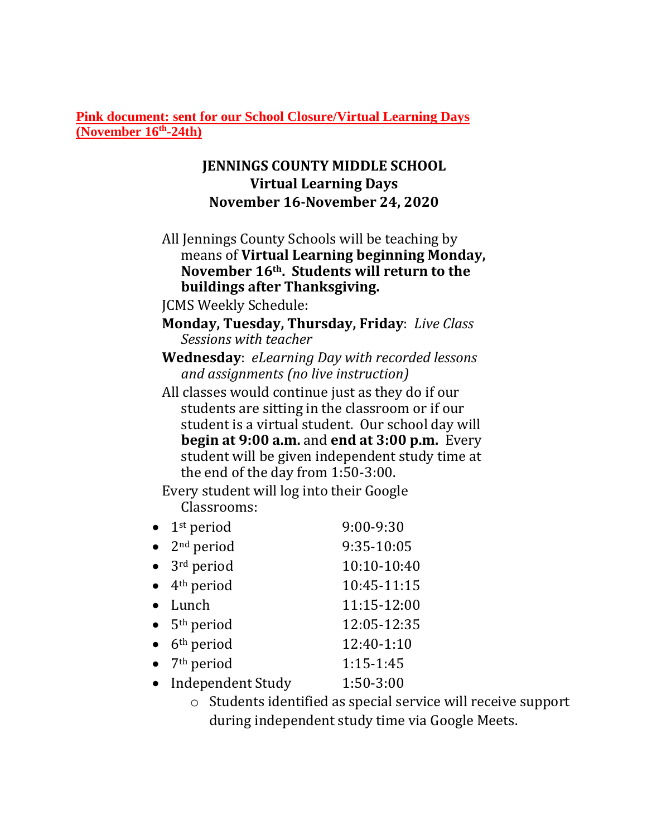**Pink document: sent for our School Closure/Virtual Learning Days (November 16th -24th)**

## **JENNINGS COUNTY MIDDLE SCHOOL Virtual Learning Days November 16-November 24, 2020**

- All Jennings County Schools will be teaching by means of **Virtual Learning beginning Monday, November 16th. Students will return to the buildings after Thanksgiving.**
- JCMS Weekly Schedule:

**Monday, Tuesday, Thursday, Friday**: *Live Class Sessions with teacher*

**Wednesday**: *eLearning Day with recorded lessons and assignments (no live instruction)*

All classes would continue just as they do if our students are sitting in the classroom or if our student is a virtual student. Our school day will **begin at 9:00 a.m.** and **end at 3:00 p.m.** Every student will be given independent study time at the end of the day from 1:50-3:00.

Every student will log into their Google Classrooms:

- $1<sup>st</sup>$  period 9:00-9:30
- 2<sup>nd</sup> period 9:35-10:05
- $3<sup>rd</sup>$  period  $10:10-10:40$
- $4<sup>th</sup>$  period  $10:45-11:15$ • Lunch 11:15-12:00 5th period 12:05-12:35
- $6<sup>th</sup>$  period  $12:40-1:10$
- $7<sup>th</sup>$  period  $1:15-1:45$
- Independent Study 1:50-3:00
	- o Students identified as special service will receive support during independent study time via Google Meets.